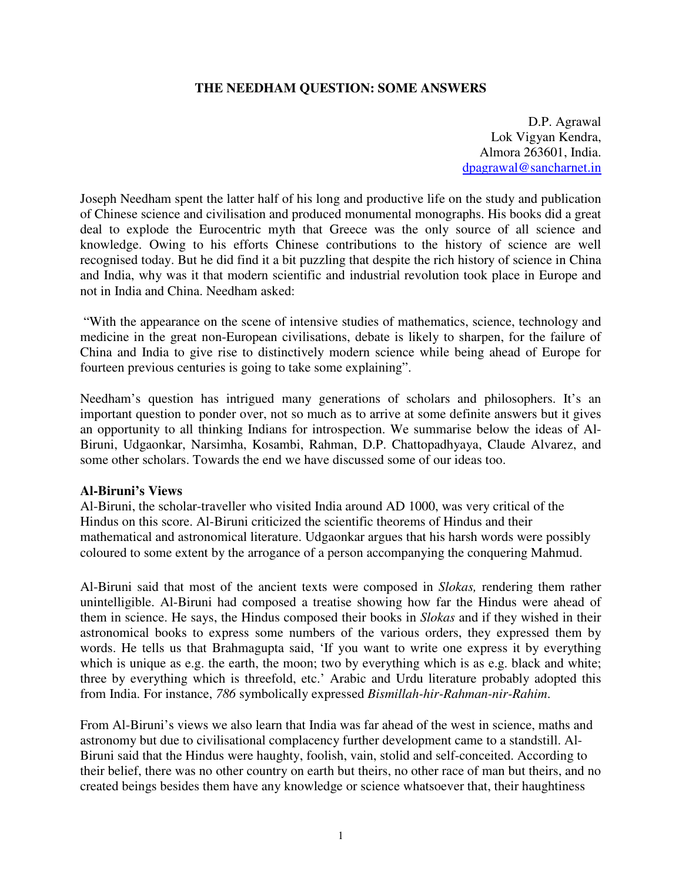### **THE NEEDHAM QUESTION: SOME ANSWERS**

D.P. Agrawal Lok Vigyan Kendra, Almora 263601, India. dpagrawal@sancharnet.in

Joseph Needham spent the latter half of his long and productive life on the study and publication of Chinese science and civilisation and produced monumental monographs. His books did a great deal to explode the Eurocentric myth that Greece was the only source of all science and knowledge. Owing to his efforts Chinese contributions to the history of science are well recognised today. But he did find it a bit puzzling that despite the rich history of science in China and India, why was it that modern scientific and industrial revolution took place in Europe and not in India and China. Needham asked:

"With the appearance on the scene of intensive studies of mathematics, science, technology and medicine in the great non-European civilisations, debate is likely to sharpen, for the failure of China and India to give rise to distinctively modern science while being ahead of Europe for fourteen previous centuries is going to take some explaining".

Needham's question has intrigued many generations of scholars and philosophers. It's an important question to ponder over, not so much as to arrive at some definite answers but it gives an opportunity to all thinking Indians for introspection. We summarise below the ideas of Al-Biruni, Udgaonkar, Narsimha, Kosambi, Rahman, D.P. Chattopadhyaya, Claude Alvarez, and some other scholars. Towards the end we have discussed some of our ideas too.

#### **Al-Biruni's Views**

Al-Biruni, the scholar-traveller who visited India around AD 1000, was very critical of the Hindus on this score. Al-Biruni criticized the scientific theorems of Hindus and their mathematical and astronomical literature. Udgaonkar argues that his harsh words were possibly coloured to some extent by the arrogance of a person accompanying the conquering Mahmud.

Al-Biruni said that most of the ancient texts were composed in *Slokas,* rendering them rather unintelligible. Al-Biruni had composed a treatise showing how far the Hindus were ahead of them in science. He says, the Hindus composed their books in *Slokas* and if they wished in their astronomical books to express some numbers of the various orders, they expressed them by words. He tells us that Brahmagupta said, 'If you want to write one express it by everything which is unique as e.g. the earth, the moon; two by everything which is as e.g. black and white; three by everything which is threefold, etc.' Arabic and Urdu literature probably adopted this from India. For instance, *786* symbolically expressed *Bismillah-hir-Rahman-nir-Rahim*.

From Al-Biruni's views we also learn that India was far ahead of the west in science, maths and astronomy but due to civilisational complacency further development came to a standstill. Al-Biruni said that the Hindus were haughty, foolish, vain, stolid and self-conceited. According to their belief, there was no other country on earth but theirs, no other race of man but theirs, and no created beings besides them have any knowledge or science whatsoever that, their haughtiness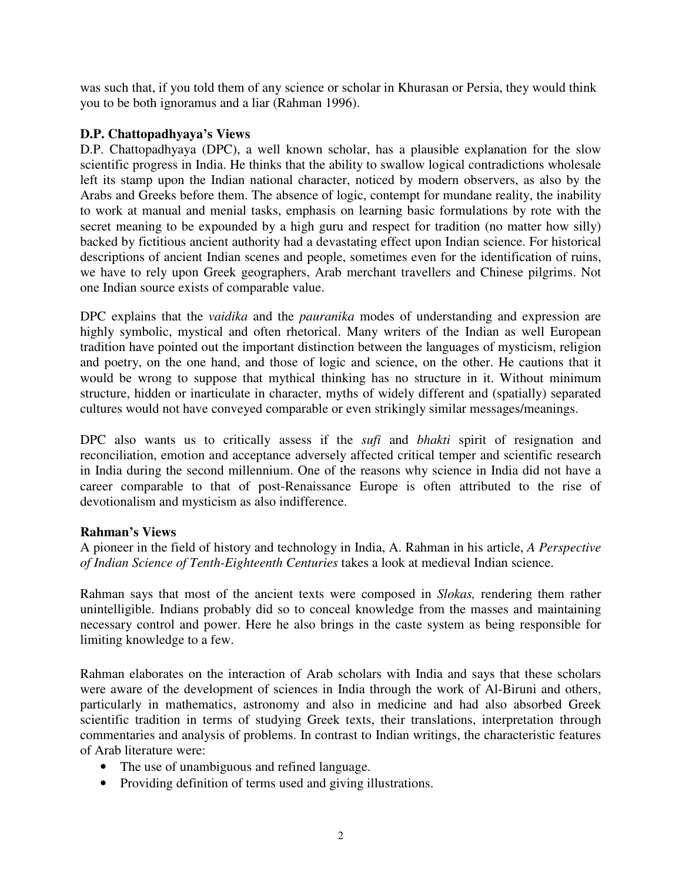was such that, if you told them of any science or scholar in Khurasan or Persia, they would think you to be both ignoramus and a liar (Rahman 1996).

# **D.P. Chattopadhyaya's Views**

D.P. Chattopadhyaya (DPC), a well known scholar, has a plausible explanation for the slow scientific progress in India. He thinks that the ability to swallow logical contradictions wholesale left its stamp upon the Indian national character, noticed by modern observers, as also by the Arabs and Greeks before them. The absence of logic, contempt for mundane reality, the inability to work at manual and menial tasks, emphasis on learning basic formulations by rote with the secret meaning to be expounded by a high guru and respect for tradition (no matter how silly) backed by fictitious ancient authority had a devastating effect upon Indian science. For historical descriptions of ancient Indian scenes and people, sometimes even for the identification of ruins, we have to rely upon Greek geographers, Arab merchant travellers and Chinese pilgrims. Not one Indian source exists of comparable value.

DPC explains that the *vaidika* and the *pauranika* modes of understanding and expression are highly symbolic, mystical and often rhetorical. Many writers of the Indian as well European tradition have pointed out the important distinction between the languages of mysticism, religion and poetry, on the one hand, and those of logic and science, on the other. He cautions that it would be wrong to suppose that mythical thinking has no structure in it. Without minimum structure, hidden or inarticulate in character, myths of widely different and (spatially) separated cultures would not have conveyed comparable or even strikingly similar messages/meanings.

DPC also wants us to critically assess if the *sufi* and *bhakti* spirit of resignation and reconciliation, emotion and acceptance adversely affected critical temper and scientific research in India during the second millennium. One of the reasons why science in India did not have a career comparable to that of post-Renaissance Europe is often attributed to the rise of devotionalism and mysticism as also indifference.

### **Rahman's Views**

A pioneer in the field of history and technology in India, A. Rahman in his article, *A Perspective of Indian Science of Tenth-Eighteenth Centuries* takes a look at medieval Indian science.

Rahman says that most of the ancient texts were composed in *Slokas,* rendering them rather unintelligible. Indians probably did so to conceal knowledge from the masses and maintaining necessary control and power. Here he also brings in the caste system as being responsible for limiting knowledge to a few.

Rahman elaborates on the interaction of Arab scholars with India and says that these scholars were aware of the development of sciences in India through the work of Al-Biruni and others, particularly in mathematics, astronomy and also in medicine and had also absorbed Greek scientific tradition in terms of studying Greek texts, their translations, interpretation through commentaries and analysis of problems. In contrast to Indian writings, the characteristic features of Arab literature were:

- The use of unambiguous and refined language.
- Providing definition of terms used and giving illustrations.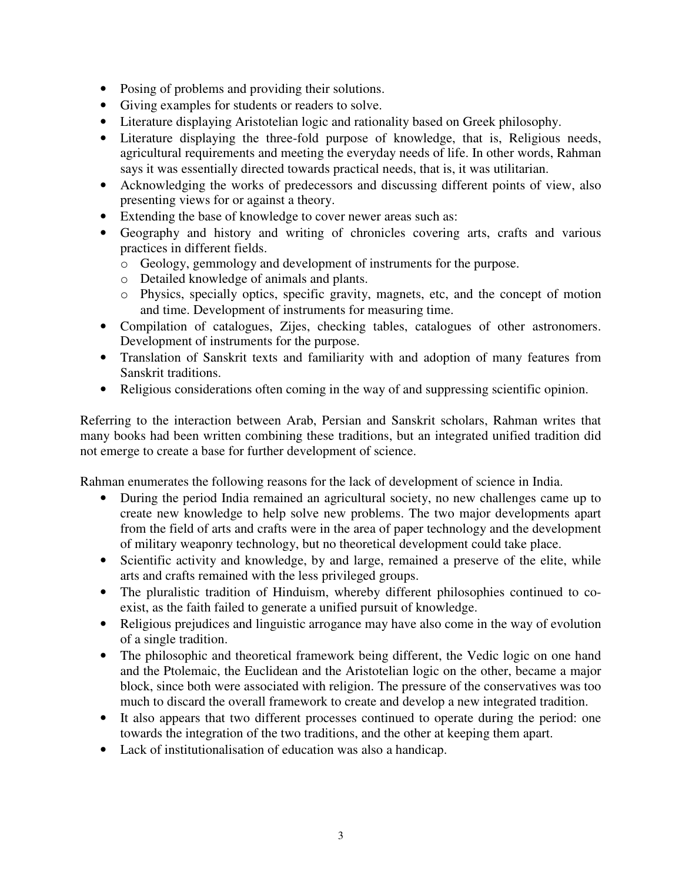- Posing of problems and providing their solutions.
- Giving examples for students or readers to solve.
- Literature displaying Aristotelian logic and rationality based on Greek philosophy.
- Literature displaying the three-fold purpose of knowledge, that is, Religious needs, agricultural requirements and meeting the everyday needs of life. In other words, Rahman says it was essentially directed towards practical needs, that is, it was utilitarian.
- Acknowledging the works of predecessors and discussing different points of view, also presenting views for or against a theory.
- Extending the base of knowledge to cover newer areas such as:
- Geography and history and writing of chronicles covering arts, crafts and various practices in different fields.
	- o Geology, gemmology and development of instruments for the purpose.
	- o Detailed knowledge of animals and plants.
	- o Physics, specially optics, specific gravity, magnets, etc, and the concept of motion and time. Development of instruments for measuring time.
- Compilation of catalogues, Zijes, checking tables, catalogues of other astronomers. Development of instruments for the purpose.
- Translation of Sanskrit texts and familiarity with and adoption of many features from Sanskrit traditions.
- Religious considerations often coming in the way of and suppressing scientific opinion.

Referring to the interaction between Arab, Persian and Sanskrit scholars, Rahman writes that many books had been written combining these traditions, but an integrated unified tradition did not emerge to create a base for further development of science.

Rahman enumerates the following reasons for the lack of development of science in India.

- During the period India remained an agricultural society, no new challenges came up to create new knowledge to help solve new problems. The two major developments apart from the field of arts and crafts were in the area of paper technology and the development of military weaponry technology, but no theoretical development could take place.
- Scientific activity and knowledge, by and large, remained a preserve of the elite, while arts and crafts remained with the less privileged groups.
- The pluralistic tradition of Hinduism, whereby different philosophies continued to coexist, as the faith failed to generate a unified pursuit of knowledge.
- Religious prejudices and linguistic arrogance may have also come in the way of evolution of a single tradition.
- The philosophic and theoretical framework being different, the Vedic logic on one hand and the Ptolemaic, the Euclidean and the Aristotelian logic on the other, became a major block, since both were associated with religion. The pressure of the conservatives was too much to discard the overall framework to create and develop a new integrated tradition.
- It also appears that two different processes continued to operate during the period: one towards the integration of the two traditions, and the other at keeping them apart.
- Lack of institutionalisation of education was also a handicap.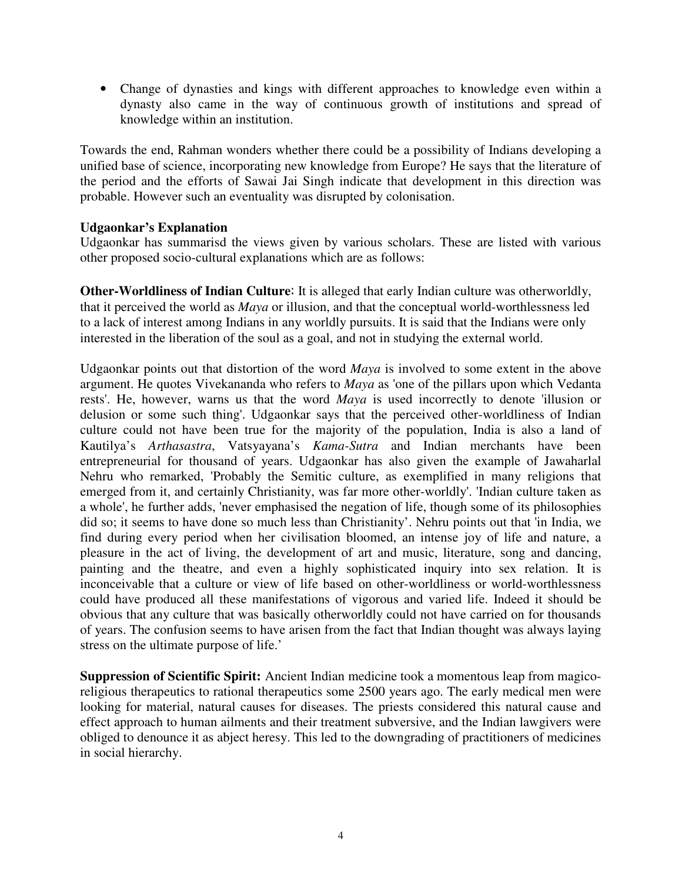• Change of dynasties and kings with different approaches to knowledge even within a dynasty also came in the way of continuous growth of institutions and spread of knowledge within an institution.

Towards the end, Rahman wonders whether there could be a possibility of Indians developing a unified base of science, incorporating new knowledge from Europe? He says that the literature of the period and the efforts of Sawai Jai Singh indicate that development in this direction was probable. However such an eventuality was disrupted by colonisation.

# **Udgaonkar's Explanation**

Udgaonkar has summarisd the views given by various scholars. These are listed with various other proposed socio-cultural explanations which are as follows:

**Other-Worldliness of Indian Culture:** It is alleged that early Indian culture was otherworldly, that it perceived the world as *Maya* or illusion, and that the conceptual world-worthlessness led to a lack of interest among Indians in any worldly pursuits. It is said that the Indians were only interested in the liberation of the soul as a goal, and not in studying the external world.

Udgaonkar points out that distortion of the word *Maya* is involved to some extent in the above argument. He quotes Vivekananda who refers to *Maya* as 'one of the pillars upon which Vedanta rests'. He, however, warns us that the word *Maya* is used incorrectly to denote 'illusion or delusion or some such thing'. Udgaonkar says that the perceived other-worldliness of Indian culture could not have been true for the majority of the population, India is also a land of Kautilya's *Arthasastra*, Vatsyayana's *Kama-Sutra* and Indian merchants have been entrepreneurial for thousand of years. Udgaonkar has also given the example of Jawaharlal Nehru who remarked, 'Probably the Semitic culture, as exemplified in many religions that emerged from it, and certainly Christianity, was far more other-worldly'. 'Indian culture taken as a whole', he further adds, 'never emphasised the negation of life, though some of its philosophies did so; it seems to have done so much less than Christianity'. Nehru points out that 'in India, we find during every period when her civilisation bloomed, an intense joy of life and nature, a pleasure in the act of living, the development of art and music, literature, song and dancing, painting and the theatre, and even a highly sophisticated inquiry into sex relation. It is inconceivable that a culture or view of life based on other-worldliness or world-worthlessness could have produced all these manifestations of vigorous and varied life. Indeed it should be obvious that any culture that was basically otherworldly could not have carried on for thousands of years. The confusion seems to have arisen from the fact that Indian thought was always laying stress on the ultimate purpose of life.'

**Suppression of Scientific Spirit:** Ancient Indian medicine took a momentous leap from magicoreligious therapeutics to rational therapeutics some 2500 years ago. The early medical men were looking for material, natural causes for diseases. The priests considered this natural cause and effect approach to human ailments and their treatment subversive, and the Indian lawgivers were obliged to denounce it as abject heresy. This led to the downgrading of practitioners of medicines in social hierarchy.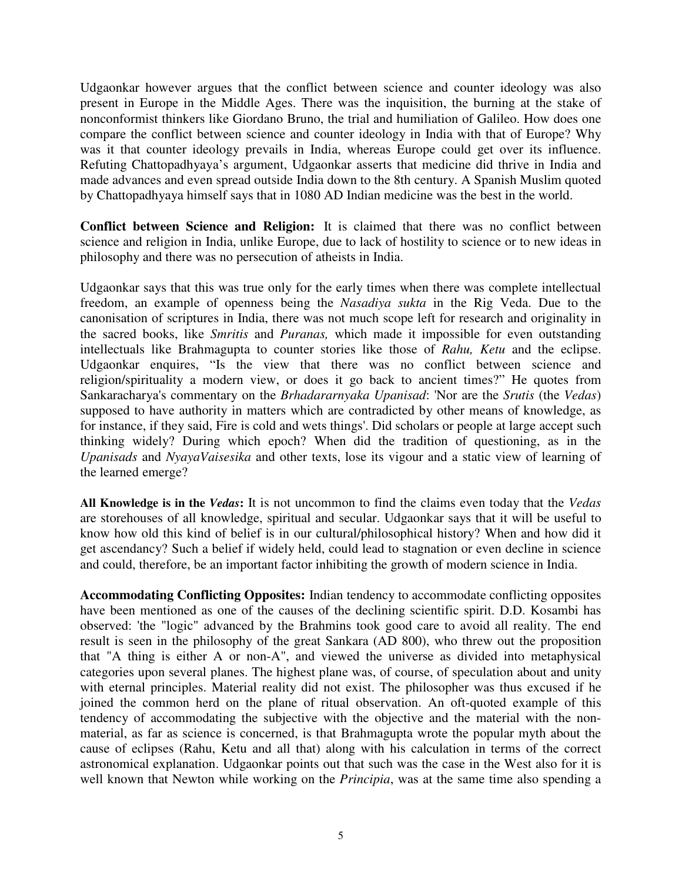Udgaonkar however argues that the conflict between science and counter ideology was also present in Europe in the Middle Ages. There was the inquisition, the burning at the stake of nonconformist thinkers like Giordano Bruno, the trial and humiliation of Galileo. How does one compare the conflict between science and counter ideology in India with that of Europe? Why was it that counter ideology prevails in India, whereas Europe could get over its influence. Refuting Chattopadhyaya's argument, Udgaonkar asserts that medicine did thrive in India and made advances and even spread outside India down to the 8th century. A Spanish Muslim quoted by Chattopadhyaya himself says that in 1080 AD Indian medicine was the best in the world.

**Conflict between Science and Religion:** It is claimed that there was no conflict between science and religion in India, unlike Europe, due to lack of hostility to science or to new ideas in philosophy and there was no persecution of atheists in India.

Udgaonkar says that this was true only for the early times when there was complete intellectual freedom, an example of openness being the *Nasadiya sukta* in the Rig Veda. Due to the canonisation of scriptures in India, there was not much scope left for research and originality in the sacred books, like *Smritis* and *Puranas,* which made it impossible for even outstanding intellectuals like Brahmagupta to counter stories like those of *Rahu, Ketu* and the eclipse. Udgaonkar enquires, "Is the view that there was no conflict between science and religion/spirituality a modern view, or does it go back to ancient times?" He quotes from Sankaracharya's commentary on the *Brhadararnyaka Upanisad*: 'Nor are the *Srutis* (the *Vedas*) supposed to have authority in matters which are contradicted by other means of knowledge, as for instance, if they said, Fire is cold and wets things'. Did scholars or people at large accept such thinking widely? During which epoch? When did the tradition of questioning, as in the *Upanisads* and *NyayaVaisesika* and other texts, lose its vigour and a static view of learning of the learned emerge?

**All Knowledge is in the** *Vedas***:** It is not uncommon to find the claims even today that the *Vedas* are storehouses of all knowledge, spiritual and secular. Udgaonkar says that it will be useful to know how old this kind of belief is in our cultural/philosophical history? When and how did it get ascendancy? Such a belief if widely held, could lead to stagnation or even decline in science and could, therefore, be an important factor inhibiting the growth of modern science in India.

**Accommodating Conflicting Opposites:** Indian tendency to accommodate conflicting opposites have been mentioned as one of the causes of the declining scientific spirit. D.D. Kosambi has observed: 'the "logic" advanced by the Brahmins took good care to avoid all reality. The end result is seen in the philosophy of the great Sankara (AD 800), who threw out the proposition that "A thing is either A or non-A", and viewed the universe as divided into metaphysical categories upon several planes. The highest plane was, of course, of speculation about and unity with eternal principles. Material reality did not exist. The philosopher was thus excused if he joined the common herd on the plane of ritual observation. An oft-quoted example of this tendency of accommodating the subjective with the objective and the material with the nonmaterial, as far as science is concerned, is that Brahmagupta wrote the popular myth about the cause of eclipses (Rahu, Ketu and all that) along with his calculation in terms of the correct astronomical explanation. Udgaonkar points out that such was the case in the West also for it is well known that Newton while working on the *Principia*, was at the same time also spending a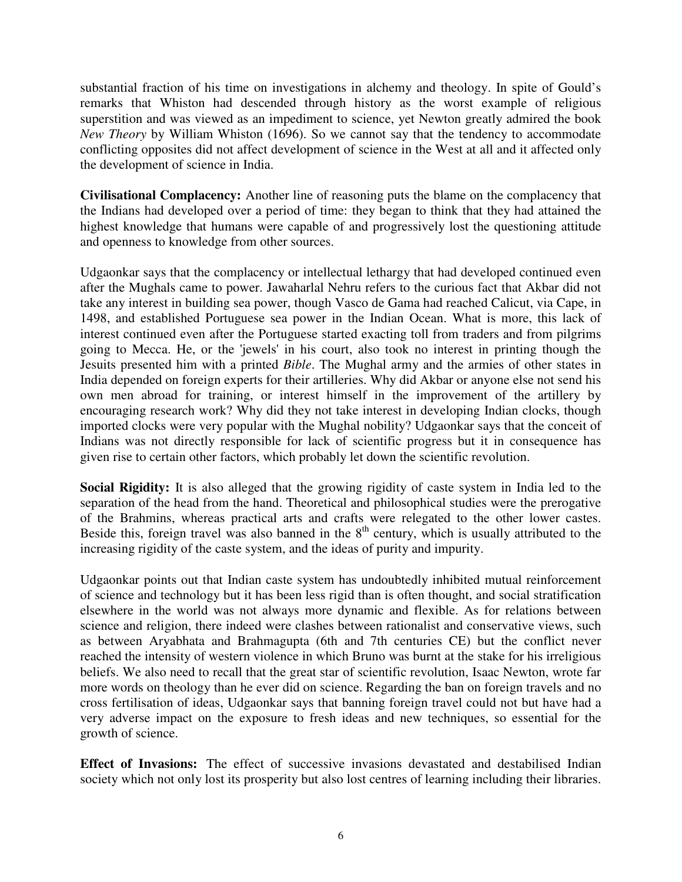substantial fraction of his time on investigations in alchemy and theology. In spite of Gould's remarks that Whiston had descended through history as the worst example of religious superstition and was viewed as an impediment to science, yet Newton greatly admired the book *New Theory* by William Whiston (1696). So we cannot say that the tendency to accommodate conflicting opposites did not affect development of science in the West at all and it affected only the development of science in India.

**Civilisational Complacency:** Another line of reasoning puts the blame on the complacency that the Indians had developed over a period of time: they began to think that they had attained the highest knowledge that humans were capable of and progressively lost the questioning attitude and openness to knowledge from other sources.

Udgaonkar says that the complacency or intellectual lethargy that had developed continued even after the Mughals came to power. Jawaharlal Nehru refers to the curious fact that Akbar did not take any interest in building sea power, though Vasco de Gama had reached Calicut, via Cape, in 1498, and established Portuguese sea power in the Indian Ocean. What is more, this lack of interest continued even after the Portuguese started exacting toll from traders and from pilgrims going to Mecca. He, or the 'jewels'in his court, also took no interest in printing though the Jesuits presented him with a printed *Bible*. The Mughal army and the armies of other states in India depended on foreign experts for their artilleries. Why did Akbar or anyone else not send his own men abroad for training, or interest himself in the improvement of the artillery by encouraging research work? Why did they not take interest in developing Indian clocks, though imported clocks were very popular with the Mughal nobility? Udgaonkar says that the conceit of Indians was not directly responsible for lack of scientific progress but it in consequence has given rise to certain other factors, which probably let down the scientific revolution.

**Social Rigidity:** It is also alleged that the growing rigidity of caste system in India led to the separation of the head from the hand. Theoretical and philosophical studies were the prerogative of the Brahmins, whereas practical arts and crafts were relegated to the other lower castes. Beside this, foreign travel was also banned in the  $8<sup>th</sup>$  century, which is usually attributed to the increasing rigidity of the caste system, and the ideas of purity and impurity.

Udgaonkar points out that Indian caste system has undoubtedly inhibited mutual reinforcement of science and technology but it has been less rigid than is often thought, and social stratification elsewhere in the world was not always more dynamic and flexible. As for relations between science and religion, there indeed were clashes between rationalist and conservative views, such as between Aryabhata and Brahmagupta (6th and 7th centuries CE) but the conflict never reached the intensity of western violence in which Bruno was burnt at the stake for his irreligious beliefs. We also need to recall that the great star of scientific revolution, Isaac Newton, wrote far more words on theology than he ever did on science. Regarding the ban on foreign travels and no cross fertilisation of ideas, Udgaonkar says that banning foreign travel could not but have had a very adverse impact on the exposure to fresh ideas and new techniques, so essential for the growth of science.

**Effect of Invasions:** The effect of successive invasions devastated and destabilised Indian society which not only lost its prosperity but also lost centres of learning including their libraries.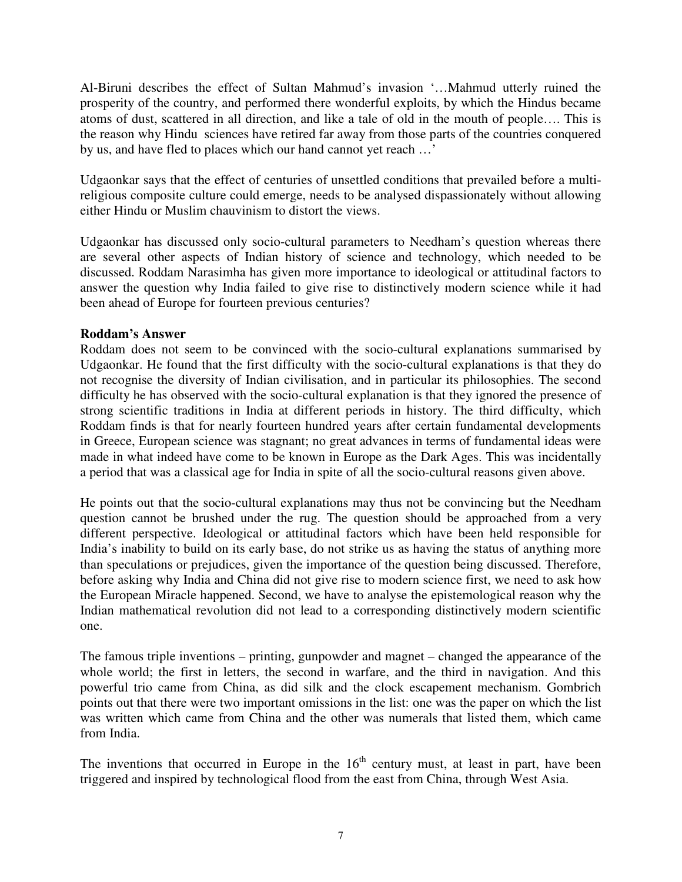Al-Biruni describes the effect of Sultan Mahmud's invasion '…Mahmud utterly ruined the prosperity of the country, and performed there wonderful exploits, by which the Hindus became atoms of dust, scattered in all direction, and like a tale of old in the mouth of people…. This is the reason why Hindu sciences have retired far away from those parts of the countries conquered by us, and have fled to places which our hand cannot yet reach …'

Udgaonkar says that the effect of centuries of unsettled conditions that prevailed before a multireligious composite culture could emerge, needs to be analysed dispassionately without allowing either Hindu or Muslim chauvinism to distort the views.

Udgaonkar has discussed only socio-cultural parameters to Needham's question whereas there are several other aspects of Indian history of science and technology, which needed to be discussed. Roddam Narasimha has given more importance to ideological or attitudinal factors to answer the question why India failed to give rise to distinctively modern science while it had been ahead of Europe for fourteen previous centuries?

### **Roddam's Answer**

Roddam does not seem to be convinced with the socio-cultural explanations summarised by Udgaonkar. He found that the first difficulty with the socio-cultural explanations is that they do not recognise the diversity of Indian civilisation, and in particular its philosophies. The second difficulty he has observed with the socio-cultural explanation is that they ignored the presence of strong scientific traditions in India at different periods in history. The third difficulty, which Roddam finds is that for nearly fourteen hundred years after certain fundamental developments in Greece, European science was stagnant; no great advances in terms of fundamental ideas were made in what indeed have come to be known in Europe as the Dark Ages. This was incidentally a period that was a classical age for India in spite of all the socio-cultural reasons given above.

He points out that the socio-cultural explanations may thus not be convincing but the Needham question cannot be brushed under the rug. The question should be approached from a very different perspective. Ideological or attitudinal factors which have been held responsible for India's inability to build on its early base, do not strike us as having the status of anything more than speculations or prejudices, given the importance of the question being discussed. Therefore, before asking why India and China did not give rise to modern science first, we need to ask how the European Miracle happened. Second, we have to analyse the epistemological reason why the Indian mathematical revolution did not lead to a corresponding distinctively modern scientific one.

The famous triple inventions – printing, gunpowder and magnet – changed the appearance of the whole world; the first in letters, the second in warfare, and the third in navigation. And this powerful trio came from China, as did silk and the clock escapement mechanism. Gombrich points out that there were two important omissions in the list: one was the paper on which the list was written which came from China and the other was numerals that listed them, which came from India.

The inventions that occurred in Europe in the  $16<sup>th</sup>$  century must, at least in part, have been triggered and inspired by technological flood from the east from China, through West Asia.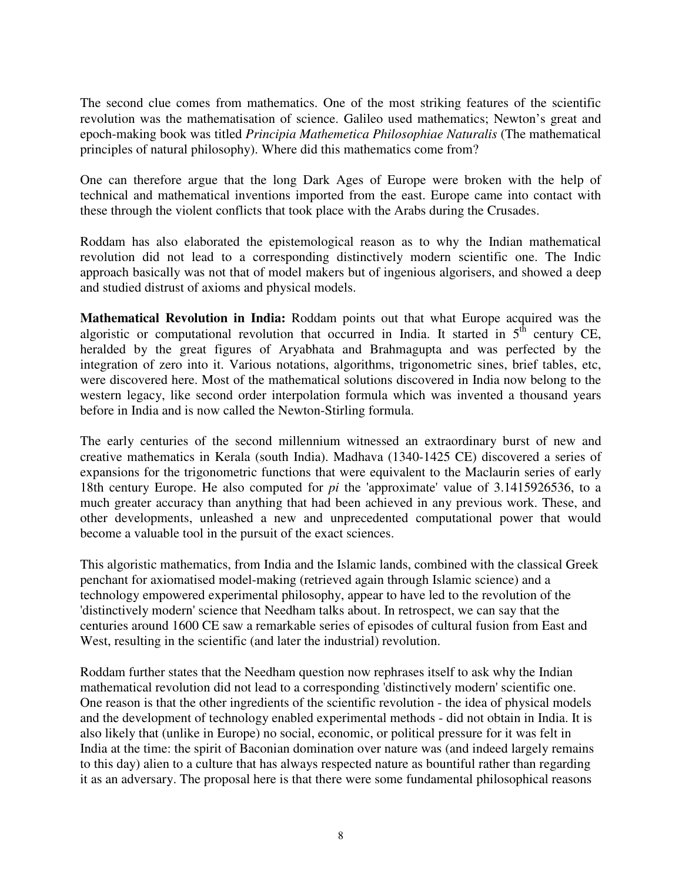The second clue comes from mathematics. One of the most striking features of the scientific revolution was the mathematisation of science. Galileo used mathematics; Newton's great and epoch-making book was titled *Principia Mathemetica Philosophiae Naturalis* (The mathematical principles of natural philosophy). Where did this mathematics come from?

One can therefore argue that the long Dark Ages of Europe were broken with the help of technical and mathematical inventions imported from the east. Europe came into contact with these through the violent conflicts that took place with the Arabs during the Crusades.

Roddam has also elaborated the epistemological reason as to why the Indian mathematical revolution did not lead to a corresponding distinctively modern scientific one. The Indic approach basically was not that of model makers but of ingenious algorisers, and showed a deep and studied distrust of axioms and physical models.

**Mathematical Revolution in India:** Roddam points out that what Europe acquired was the algoristic or computational revolution that occurred in India. It started in  $5<sup>th</sup>$  century CE, heralded by the great figures of Aryabhata and Brahmagupta and was perfected by the integration of zero into it. Various notations, algorithms, trigonometric sines, brief tables, etc, were discovered here. Most of the mathematical solutions discovered in India now belong to the western legacy, like second order interpolation formula which was invented a thousand years before in India and is now called the Newton-Stirling formula.

The early centuries of the second millennium witnessed an extraordinary burst of new and creative mathematics in Kerala (south India). Madhava (1340-1425 CE) discovered a series of expansions for the trigonometric functions that were equivalent to the Maclaurin series of early 18th century Europe. He also computed for *pi* the 'approximate' value of 3.1415926536, to a much greater accuracy than anything that had been achieved in any previous work. These, and other developments, unleashed a new and unprecedented computational power that would become a valuable tool in the pursuit of the exact sciences.

This algoristic mathematics, from India and the Islamic lands, combined with the classical Greek penchant for axiomatised model-making (retrieved again through Islamic science) and a technology empowered experimental philosophy, appear to have led to the revolution of the 'distinctively modern'science that Needham talks about. In retrospect, we can say that the centuries around 1600 CE saw a remarkable series of episodes of cultural fusion from East and West, resulting in the scientific (and later the industrial) revolution.

Roddam further states that the Needham question now rephrases itself to ask why the Indian mathematical revolution did not lead to a corresponding 'distinctively modern'scientific one. One reason is that the other ingredients of the scientific revolution - the idea of physical models and the development of technology enabled experimental methods - did not obtain in India. It is also likely that (unlike in Europe) no social, economic, or political pressure for it was felt in India at the time: the spirit of Baconian domination over nature was (and indeed largely remains to this day) alien to a culture that has always respected nature as bountiful rather than regarding it as an adversary. The proposal here is that there were some fundamental philosophical reasons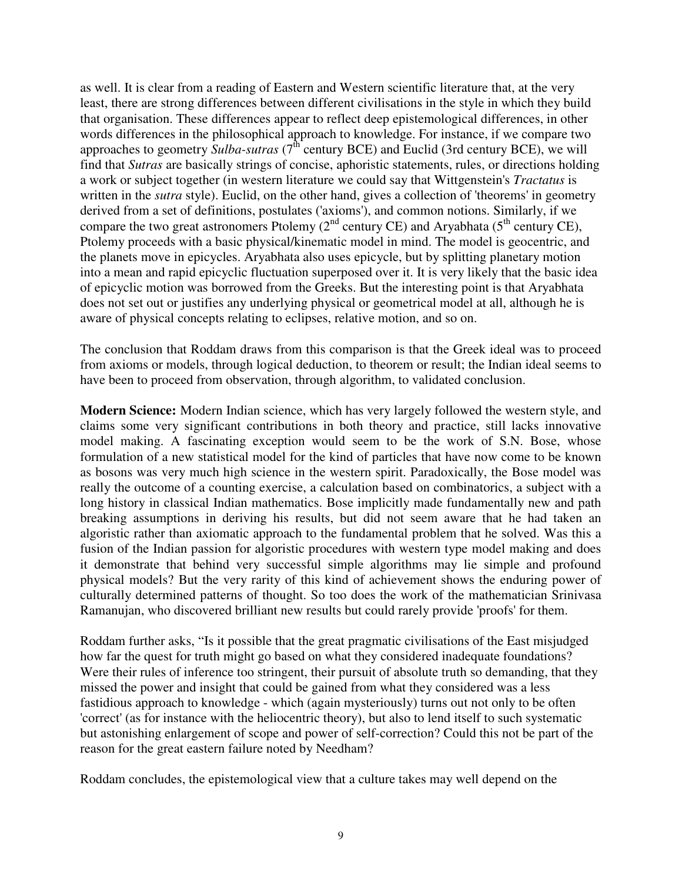as well. It is clear from a reading of Eastern and Western scientific literature that, at the very least, there are strong differences between different civilisations in the style in which they build that organisation. These differences appear to reflect deep epistemological differences, in other words differences in the philosophical approach to knowledge. For instance, if we compare two approaches to geometry Sulba-sutras (7<sup>th</sup> century BCE) and Euclid (3rd century BCE), we will find that *Sutras* are basically strings of concise, aphoristic statements, rules, or directions holding a work or subject together (in western literature we could say that Wittgenstein's *Tractatus* is written in the *sutra* style). Euclid, on the other hand, gives a collection of 'theorems' in geometry derived from a set of definitions, postulates ('axioms'), and common notions. Similarly, if we compare the two great astronomers Ptolemy  $(2^{nd}$  century CE) and Aryabhata (5<sup>th</sup> century CE), Ptolemy proceeds with a basic physical/kinematic model in mind. The model is geocentric, and the planets move in epicycles. Aryabhata also uses epicycle, but by splitting planetary motion into a mean and rapid epicyclic fluctuation superposed over it. It is very likely that the basic idea of epicyclic motion was borrowed from the Greeks. But the interesting point is that Aryabhata does not set out or justifies any underlying physical or geometrical model at all, although he is aware of physical concepts relating to eclipses, relative motion, and so on.

The conclusion that Roddam draws from this comparison is that the Greek ideal was to proceed from axioms or models, through logical deduction, to theorem or result; the Indian ideal seems to have been to proceed from observation, through algorithm, to validated conclusion.

**Modern Science:** Modern Indian science, which has very largely followed the western style, and claims some very significant contributions in both theory and practice, still lacks innovative model making. A fascinating exception would seem to be the work of S.N. Bose, whose formulation of a new statistical model for the kind of particles that have now come to be known as bosons was very much high science in the western spirit. Paradoxically, the Bose model was really the outcome of a counting exercise, a calculation based on combinatorics, a subject with a long history in classical Indian mathematics. Bose implicitly made fundamentally new and path breaking assumptions in deriving his results, but did not seem aware that he had taken an algoristic rather than axiomatic approach to the fundamental problem that he solved. Was this a fusion of the Indian passion for algoristic procedures with western type model making and does it demonstrate that behind very successful simple algorithms may lie simple and profound physical models? But the very rarity of this kind of achievement shows the enduring power of culturally determined patterns of thought. So too does the work of the mathematician Srinivasa Ramanujan, who discovered brilliant new results but could rarely provide 'proofs'for them.

Roddam further asks, "Is it possible that the great pragmatic civilisations of the East misjudged how far the quest for truth might go based on what they considered inadequate foundations? Were their rules of inference too stringent, their pursuit of absolute truth so demanding, that they missed the power and insight that could be gained from what they considered was a less fastidious approach to knowledge - which (again mysteriously) turns out not only to be often 'correct'(as for instance with the heliocentric theory), but also to lend itself to such systematic but astonishing enlargement of scope and power of self-correction? Could this not be part of the reason for the great eastern failure noted by Needham?

Roddam concludes, the epistemological view that a culture takes may well depend on the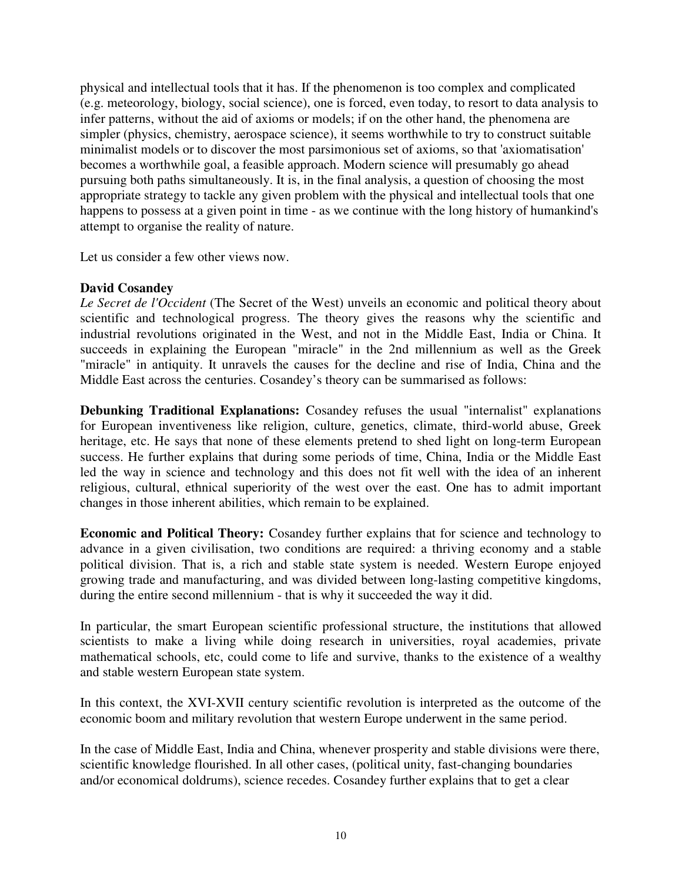physical and intellectual tools that it has. If the phenomenon is too complex and complicated (e.g. meteorology, biology, social science), one is forced, even today, to resort to data analysis to infer patterns, without the aid of axioms or models; if on the other hand, the phenomena are simpler (physics, chemistry, aerospace science), it seems worthwhile to try to construct suitable minimalist models or to discover the most parsimonious set of axioms, so that 'axiomatisation' becomes a worthwhile goal, a feasible approach. Modern science will presumably go ahead pursuing both paths simultaneously. It is, in the final analysis, a question of choosing the most appropriate strategy to tackle any given problem with the physical and intellectual tools that one happens to possess at a given point in time - as we continue with the long history of humankind's attempt to organise the reality of nature.

Let us consider a few other views now.

# **David Cosandey**

*Le Secret de l'Occident* (The Secret of the West) unveils an economic and political theory about scientific and technological progress. The theory gives the reasons why the scientific and industrial revolutions originated in the West, and not in the Middle East, India or China. It succeeds in explaining the European "miracle" in the 2nd millennium as well as the Greek "miracle" in antiquity. It unravels the causes for the decline and rise of India, China and the Middle East across the centuries. Cosandey's theory can be summarised as follows:

**Debunking Traditional Explanations:** Cosandey refuses the usual "internalist" explanations for European inventiveness like religion, culture, genetics, climate, third-world abuse, Greek heritage, etc. He says that none of these elements pretend to shed light on long-term European success. He further explains that during some periods of time, China, India or the Middle East led the way in science and technology and this does not fit well with the idea of an inherent religious, cultural, ethnical superiority of the west over the east. One has to admit important changes in those inherent abilities, which remain to be explained.

**Economic and Political Theory:** Cosandey further explains that for science and technology to advance in a given civilisation, two conditions are required: a thriving economy and a stable political division. That is, a rich and stable state system is needed. Western Europe enjoyed growing trade and manufacturing, and was divided between long-lasting competitive kingdoms, during the entire second millennium - that is why it succeeded the way it did.

In particular, the smart European scientific professional structure, the institutions that allowed scientists to make a living while doing research in universities, royal academies, private mathematical schools, etc, could come to life and survive, thanks to the existence of a wealthy and stable western European state system.

In this context, the XVI-XVII century scientific revolution is interpreted as the outcome of the economic boom and military revolution that western Europe underwent in the same period.

In the case of Middle East, India and China, whenever prosperity and stable divisions were there, scientific knowledge flourished. In all other cases, (political unity, fast-changing boundaries and/or economical doldrums), science recedes. Cosandey further explains that to get a clear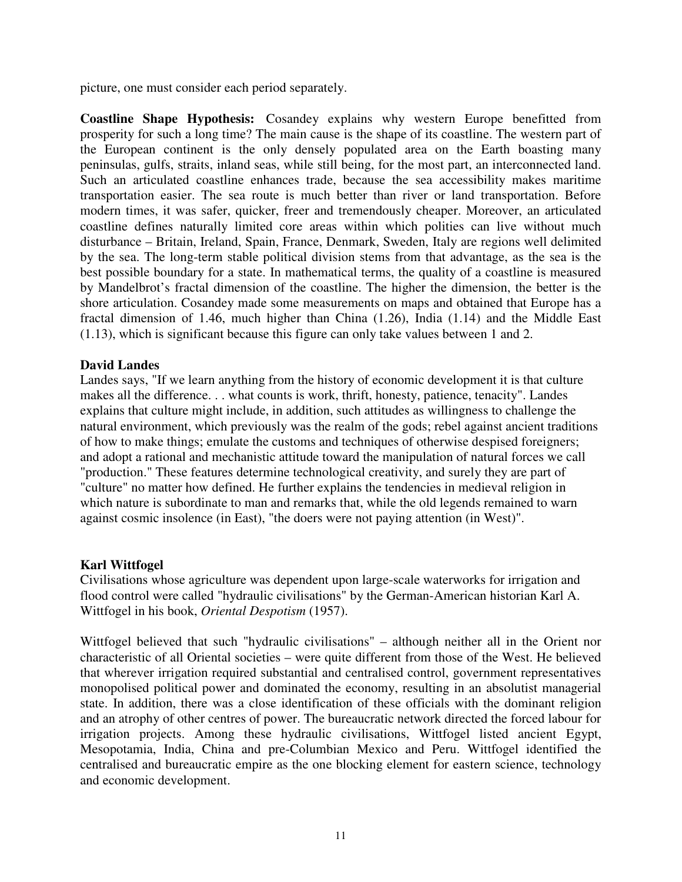picture, one must consider each period separately.

**Coastline Shape Hypothesis:** Cosandey explains why western Europe benefitted from prosperity for such a long time? The main cause is the shape of its coastline. The western part of the European continent is the only densely populated area on the Earth boasting many peninsulas, gulfs, straits, inland seas, while still being, for the most part, an interconnected land. Such an articulated coastline enhances trade, because the sea accessibility makes maritime transportation easier. The sea route is much better than river or land transportation. Before modern times, it was safer, quicker, freer and tremendously cheaper. Moreover, an articulated coastline defines naturally limited core areas within which polities can live without much disturbance – Britain, Ireland, Spain, France, Denmark, Sweden, Italy are regions well delimited by the sea. The long-term stable political division stems from that advantage, as the sea is the best possible boundary for a state. In mathematical terms, the quality of a coastline is measured by Mandelbrot's fractal dimension of the coastline. The higher the dimension, the better is the shore articulation. Cosandey made some measurements on maps and obtained that Europe has a fractal dimension of 1.46, much higher than China (1.26), India (1.14) and the Middle East (1.13), which is significant because this figure can only take values between 1 and 2.

### **David Landes**

Landes says, "If we learn anything from the history of economic development it is that culture makes all the difference. . . what counts is work, thrift, honesty, patience, tenacity". Landes explains that culture might include, in addition, such attitudes as willingness to challenge the natural environment, which previously was the realm of the gods; rebel against ancient traditions of how to make things; emulate the customs and techniques of otherwise despised foreigners; and adopt a rational and mechanistic attitude toward the manipulation of natural forces we call "production." These features determine technological creativity, and surely they are part of "culture" no matter how defined. He further explains the tendencies in medieval religion in which nature is subordinate to man and remarks that, while the old legends remained to warn against cosmic insolence (in East), "the doers were not paying attention (in West)".

### **Karl Wittfogel**

Civilisations whose agriculture was dependent upon large-scale waterworks for irrigation and flood control were called "hydraulic civilisations" by the German-American historian Karl A. Wittfogel in his book, *Oriental Despotism* (1957).

Wittfogel believed that such "hydraulic civilisations" – although neither all in the Orient nor characteristic of all Oriental societies – were quite different from those of the West. He believed that wherever irrigation required substantial and centralised control, government representatives monopolised political power and dominated the economy, resulting in an absolutist managerial state. In addition, there was a close identification of these officials with the dominant religion and an atrophy of other centres of power. The bureaucratic network directed the forced labour for irrigation projects. Among these hydraulic civilisations, Wittfogel listed ancient Egypt, Mesopotamia, India, China and pre-Columbian Mexico and Peru. Wittfogel identified the centralised and bureaucratic empire as the one blocking element for eastern science, technology and economic development.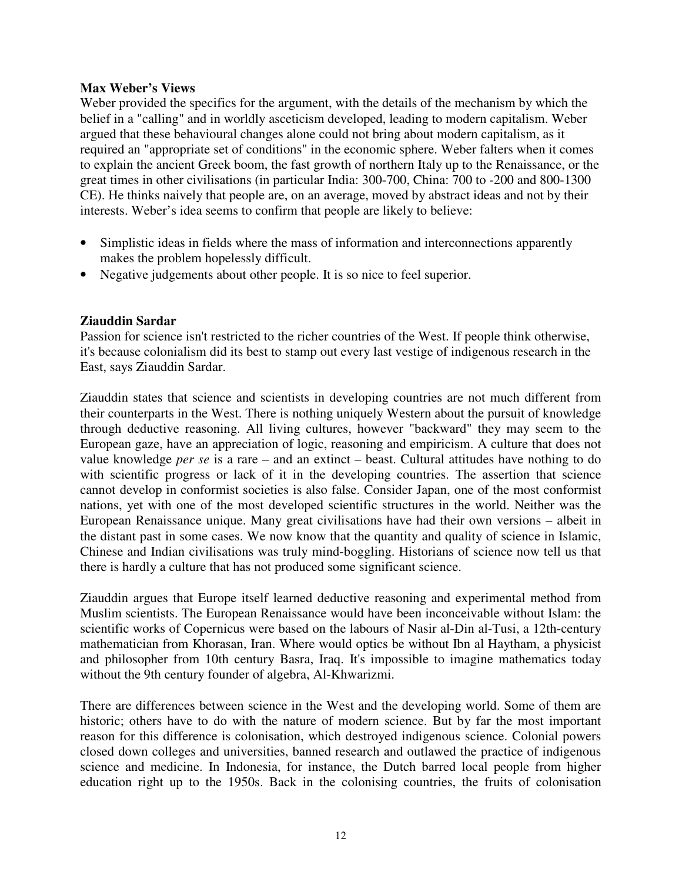### **Max Weber's Views**

Weber provided the specifics for the argument, with the details of the mechanism by which the belief in a "calling" and in worldly asceticism developed, leading to modern capitalism. Weber argued that these behavioural changes alone could not bring about modern capitalism, as it required an "appropriate set of conditions" in the economic sphere. Weber falters when it comes to explain the ancient Greek boom, the fast growth of northern Italy up to the Renaissance, or the great times in other civilisations (in particular India: 300-700, China: 700 to -200 and 800-1300 CE). He thinks naively that people are, on an average, moved by abstract ideas and not by their interests. Weber's idea seems to confirm that people are likely to believe:

- Simplistic ideas in fields where the mass of information and interconnections apparently makes the problem hopelessly difficult.
- Negative judgements about other people. It is so nice to feel superior.

# **Ziauddin Sardar**

Passion for science isn't restricted to the richer countries of the West. If people think otherwise, it's because colonialism did its best to stamp out every last vestige of indigenous research in the East, says Ziauddin Sardar.

Ziauddin states that science and scientists in developing countries are not much different from their counterparts in the West. There is nothing uniquely Western about the pursuit of knowledge through deductive reasoning. All living cultures, however "backward" they may seem to the European gaze, have an appreciation of logic, reasoning and empiricism. A culture that does not value knowledge *per se* is a rare – and an extinct – beast. Cultural attitudes have nothing to do with scientific progress or lack of it in the developing countries. The assertion that science cannot develop in conformist societies is also false. Consider Japan, one of the most conformist nations, yet with one of the most developed scientific structures in the world. Neither was the European Renaissance unique. Many great civilisations have had their own versions – albeit in the distant past in some cases. We now know that the quantity and quality of science in Islamic, Chinese and Indian civilisations was truly mind-boggling. Historians of science now tell us that there is hardly a culture that has not produced some significant science.

Ziauddin argues that Europe itself learned deductive reasoning and experimental method from Muslim scientists. The European Renaissance would have been inconceivable without Islam: the scientific works of Copernicus were based on the labours of Nasir al-Din al-Tusi, a 12th-century mathematician from Khorasan, Iran. Where would optics be without Ibn al Haytham, a physicist and philosopher from 10th century Basra, Iraq. It's impossible to imagine mathematics today without the 9th century founder of algebra, Al-Khwarizmi.

There are differences between science in the West and the developing world. Some of them are historic; others have to do with the nature of modern science. But by far the most important reason for this difference is colonisation, which destroyed indigenous science. Colonial powers closed down colleges and universities, banned research and outlawed the practice of indigenous science and medicine. In Indonesia, for instance, the Dutch barred local people from higher education right up to the 1950s. Back in the colonising countries, the fruits of colonisation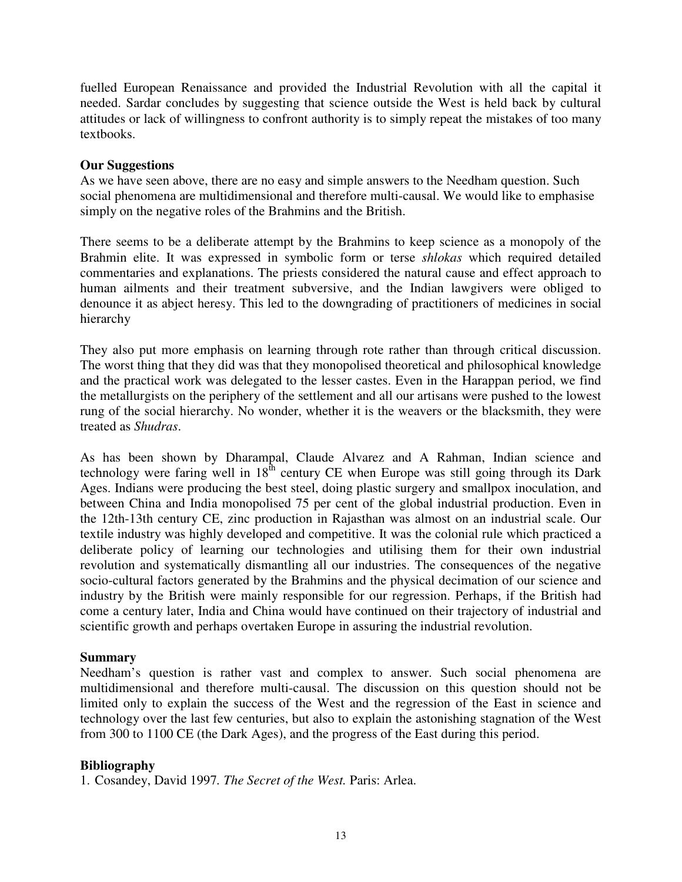fuelled European Renaissance and provided the Industrial Revolution with all the capital it needed. Sardar concludes by suggesting that science outside the West is held back by cultural attitudes or lack of willingness to confront authority is to simply repeat the mistakes of too many textbooks.

### **Our Suggestions**

As we have seen above, there are no easy and simple answers to the Needham question. Such social phenomena are multidimensional and therefore multi-causal. We would like to emphasise simply on the negative roles of the Brahmins and the British.

There seems to be a deliberate attempt by the Brahmins to keep science as a monopoly of the Brahmin elite. It was expressed in symbolic form or terse *shlokas* which required detailed commentaries and explanations. The priests considered the natural cause and effect approach to human ailments and their treatment subversive, and the Indian lawgivers were obliged to denounce it as abject heresy. This led to the downgrading of practitioners of medicines in social hierarchy

They also put more emphasis on learning through rote rather than through critical discussion. The worst thing that they did was that they monopolised theoretical and philosophical knowledge and the practical work was delegated to the lesser castes. Even in the Harappan period, we find the metallurgists on the periphery of the settlement and all our artisans were pushed to the lowest rung of the social hierarchy. No wonder, whether it is the weavers or the blacksmith, they were treated as *Shudras*.

As has been shown by Dharampal, Claude Alvarez and A Rahman, Indian science and technology were faring well in  $18<sup>th</sup>$  century CE when Europe was still going through its Dark Ages. Indians were producing the best steel, doing plastic surgery and smallpox inoculation, and between China and India monopolised 75 per cent of the global industrial production. Even in the 12th-13th century CE, zinc production in Rajasthan was almost on an industrial scale. Our textile industry was highly developed and competitive. It was the colonial rule which practiced a deliberate policy of learning our technologies and utilising them for their own industrial revolution and systematically dismantling all our industries. The consequences of the negative socio-cultural factors generated by the Brahmins and the physical decimation of our science and industry by the British were mainly responsible for our regression. Perhaps, if the British had come a century later, India and China would have continued on their trajectory of industrial and scientific growth and perhaps overtaken Europe in assuring the industrial revolution.

### **Summary**

Needham's question is rather vast and complex to answer. Such social phenomena are multidimensional and therefore multi-causal. The discussion on this question should not be limited only to explain the success of the West and the regression of the East in science and technology over the last few centuries, but also to explain the astonishing stagnation of the West from 300 to 1100 CE (the Dark Ages), and the progress of the East during this period.

### **Bibliography**

1. Cosandey, David 1997*. The Secret of the West.* Paris: Arlea.